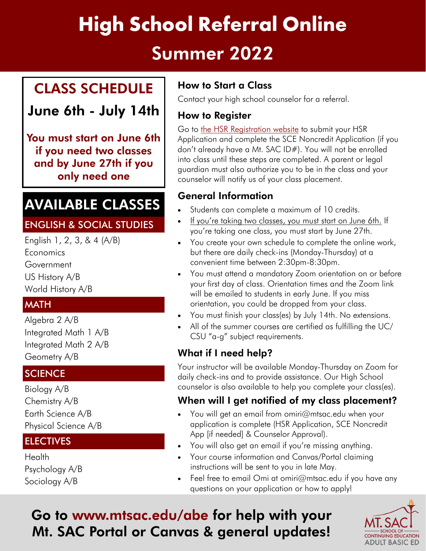# **High School Referral Online** Summer 2022

### CLASS SCHEDULE

June 6th - July 14th

You must start on June 6th if you need two classes and by June 27th if you only need one

## AVAILABLE CLASSES

### ENGLISH & SOCIAL STUDIES

English 1, 2, 3, & 4 (A/B) **Economics** Government US History A/B World History A/B

### **MATH**

Algebra 2 A/B Integrated Math 1 A/B Integrated Math 2 A/B Geometry A/B

### **SCIENCE**

Biology A/B Chemistry A/B Earth Science A/B Physical Science A/B

### **ELECTIVES**

**Health** Psychology A/B Sociology A/B

### How to Start a Class

Contact your high school counselor for a referral.

### How to Register

Go to [the HSR Registration website](http://www.mtsac.edu/highschoolreferral/reg.html) to submit your HSR Application and complete the SCE Noncredit Application (if you don't already have a Mt. SAC ID#). You will not be enrolled into class until these steps are completed. A parent or legal guardian must also authorize you to be in the class and your counselor will notify us of your class placement.

### General Information

- Students can complete a maximum of 10 credits.
- . If you're taking two classes, you must start on June 6th. If you're taking one class, you must start by June 27th.
- You create your own schedule to complete the online work, but there are daily check-ins (Monday-Thursday) at a convenient time between 2:30pm-8:30pm.
- You must attend a mandatory Zoom orientation on or before your first day of class. Orientation times and the Zoom link will be emailed to students in early June. If you miss orientation, you could be dropped from your class.
- You must finish your class(es) by July 14th. No extensions.
- All of the summer courses are certified as fulfilling the UC/ CSU "a-g" subject requirements.

### What if I need help?

Your instructor will be available Monday-Thursday on Zoom for daily check-ins and to provide assistance. Our High School counselor is also available to help you complete your class(es).

### When will I get notified of my class placement?

- You will get an email from [omiri@mtsac.edu](mailto:omiri@mtsac.edu) when your application is complete (HSR Application, SCE Noncredit App [if needed] & Counselor Approval).
- You will also get an email if you're missing anything.
- Your course information and Canvas/Portal claiming instructions will be sent to you in late May.
- Feel free to email Omi at [omiri@mtsac.edu](mailto:omiri@mtsac.edu) if you have any questions on your application or how to apply!

### Go to <www.mtsac.edu/abe>for help with your Mt. SAC Portal or Canvas & general updates!